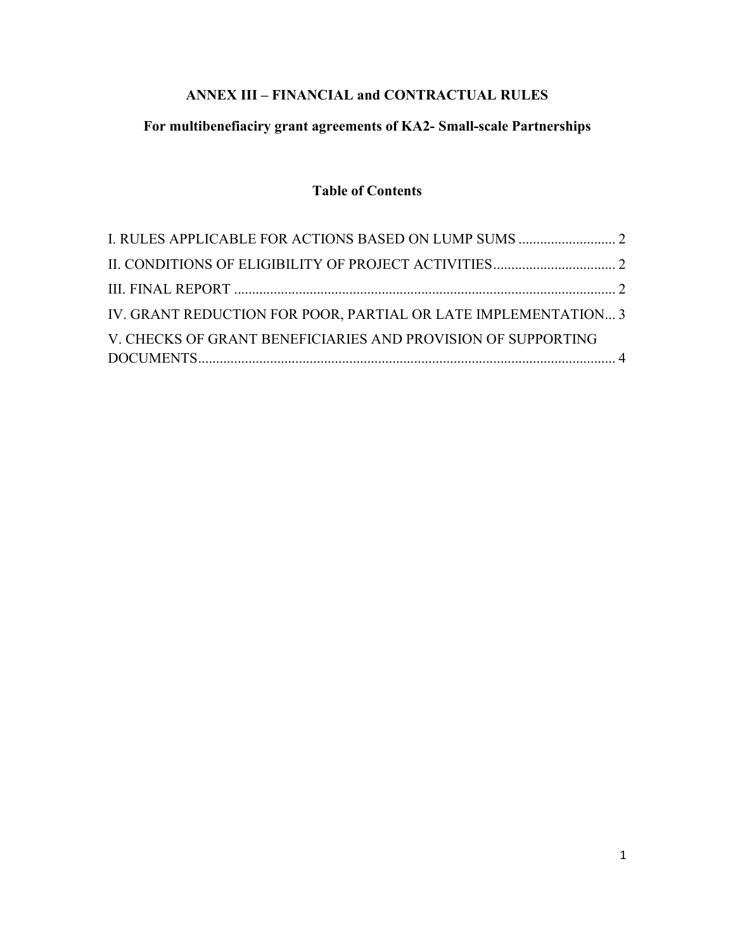# **ANNEX III – FINANCIAL and CONTRACTUAL RULES**

# **For multibenefiaciry grant agreements of KA2- Small-scale Partnerships**

# **Table of Contents**

| IV. GRANT REDUCTION FOR POOR, PARTIAL OR LATE IMPLEMENTATION 3 |
|----------------------------------------------------------------|
|                                                                |
|                                                                |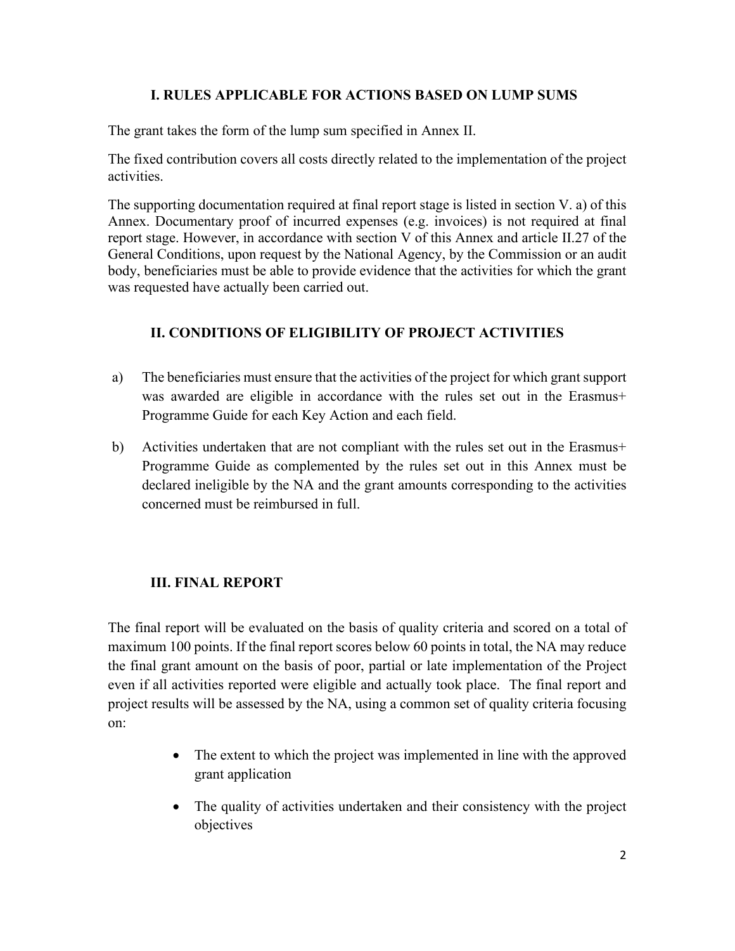### **I. RULES APPLICABLE FOR ACTIONS BASED ON LUMP SUMS**

<span id="page-1-0"></span>The grant takes the form of the lump sum specified in Annex II.

The fixed contribution covers all costs directly related to the implementation of the project activities.

The supporting documentation required at final report stage is listed in section V. a) of this Annex. Documentary proof of incurred expenses (e.g. invoices) is not required at final report stage. However, in accordance with section V of this Annex and article II.27 of the General Conditions, upon request by the National Agency, by the Commission or an audit body, beneficiaries must be able to provide evidence that the activities for which the grant was requested have actually been carried out.

## <span id="page-1-1"></span>**II. CONDITIONS OF ELIGIBILITY OF PROJECT ACTIVITIES**

- a) The beneficiaries must ensure that the activities of the project for which grant support was awarded are eligible in accordance with the rules set out in the Erasmus+ Programme Guide for each Key Action and each field.
- b) Activities undertaken that are not compliant with the rules set out in the Erasmus+ Programme Guide as complemented by the rules set out in this Annex must be declared ineligible by the NA and the grant amounts corresponding to the activities concerned must be reimbursed in full.

### <span id="page-1-2"></span>**III. FINAL REPORT**

The final report will be evaluated on the basis of quality criteria and scored on a total of maximum 100 points. If the final report scores below 60 points in total, the NA may reduce the final grant amount on the basis of poor, partial or late implementation of the Project even if all activities reported were eligible and actually took place. The final report and project results will be assessed by the NA, using a common set of quality criteria focusing on:

- The extent to which the project was implemented in line with the approved grant application
- The quality of activities undertaken and their consistency with the project objectives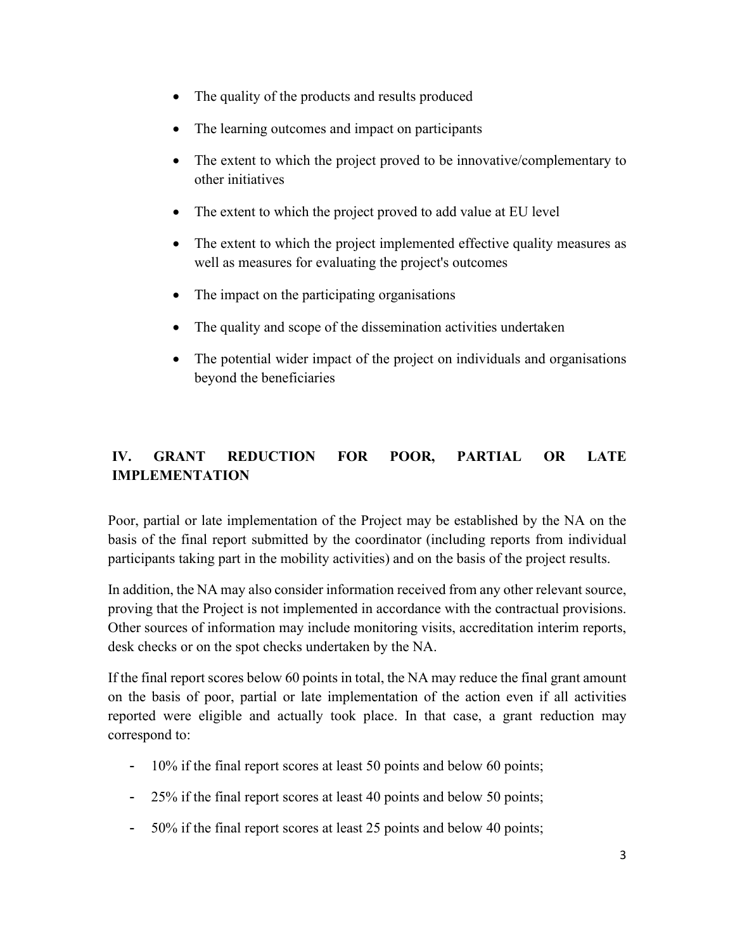- The quality of the products and results produced
- The learning outcomes and impact on participants
- The extent to which the project proved to be innovative/complementary to other initiatives
- The extent to which the project proved to add value at EU level
- The extent to which the project implemented effective quality measures as well as measures for evaluating the project's outcomes
- The impact on the participating organisations
- The quality and scope of the dissemination activities undertaken
- The potential wider impact of the project on individuals and organisations beyond the beneficiaries

# <span id="page-2-0"></span>**IV. GRANT REDUCTION FOR POOR, PARTIAL OR LATE IMPLEMENTATION**

Poor, partial or late implementation of the Project may be established by the NA on the basis of the final report submitted by the coordinator (including reports from individual participants taking part in the mobility activities) and on the basis of the project results.

In addition, the NA may also consider information received from any other relevant source, proving that the Project is not implemented in accordance with the contractual provisions. Other sources of information may include monitoring visits, accreditation interim reports, desk checks or on the spot checks undertaken by the NA.

If the final report scores below 60 points in total, the NA may reduce the final grant amount on the basis of poor, partial or late implementation of the action even if all activities reported were eligible and actually took place. In that case, a grant reduction may correspond to:

- 10% if the final report scores at least 50 points and below 60 points;
- 25% if the final report scores at least 40 points and below 50 points;
- 50% if the final report scores at least 25 points and below 40 points;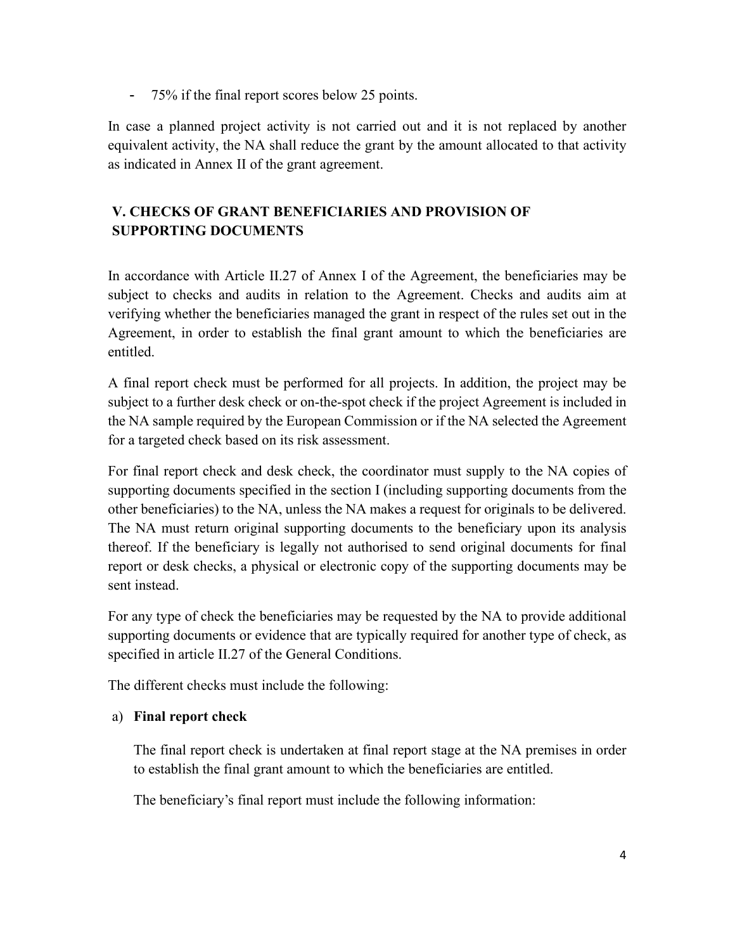- 75% if the final report scores below 25 points.

In case a planned project activity is not carried out and it is not replaced by another equivalent activity, the NA shall reduce the grant by the amount allocated to that activity as indicated in Annex II of the grant agreement.

# <span id="page-3-0"></span>**V. CHECKS OF GRANT BENEFICIARIES AND PROVISION OF SUPPORTING DOCUMENTS**

In accordance with Article II.27 of Annex I of the Agreement, the beneficiaries may be subject to checks and audits in relation to the Agreement. Checks and audits aim at verifying whether the beneficiaries managed the grant in respect of the rules set out in the Agreement, in order to establish the final grant amount to which the beneficiaries are entitled.

A final report check must be performed for all projects. In addition, the project may be subject to a further desk check or on-the-spot check if the project Agreement is included in the NA sample required by the European Commission or if the NA selected the Agreement for a targeted check based on its risk assessment.

For final report check and desk check, the coordinator must supply to the NA copies of supporting documents specified in the section I (including supporting documents from the other beneficiaries) to the NA, unless the NA makes a request for originals to be delivered. The NA must return original supporting documents to the beneficiary upon its analysis thereof. If the beneficiary is legally not authorised to send original documents for final report or desk checks, a physical or electronic copy of the supporting documents may be sent instead.

For any type of check the beneficiaries may be requested by the NA to provide additional supporting documents or evidence that are typically required for another type of check, as specified in article II.27 of the General Conditions.

The different checks must include the following:

### a) **Final report check**

The final report check is undertaken at final report stage at the NA premises in order to establish the final grant amount to which the beneficiaries are entitled.

The beneficiary's final report must include the following information: